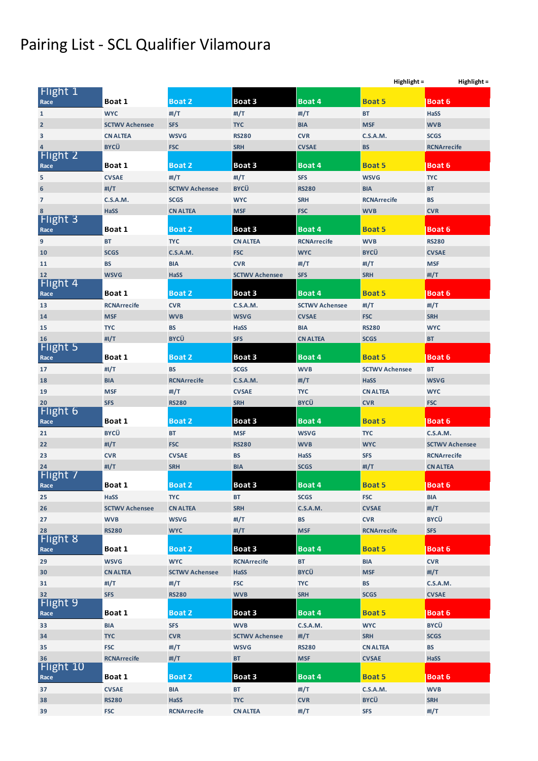## Pairing List - SCL Qualifier Vilamoura

|                         |                       |                                |                       |                       | Highlight =<br>Highlight = |                        |
|-------------------------|-----------------------|--------------------------------|-----------------------|-----------------------|----------------------------|------------------------|
| Flight 1                |                       |                                |                       |                       |                            |                        |
| Race                    | Boat 1                | <b>Boat 2</b>                  | Boat 3                | <b>Boat 4</b>         | <b>Boat 5</b>              | <b>Boat 6</b>          |
| $\mathbf{1}$            | <b>WYC</b>            | #I/T                           | #I/T                  | # $1/T$               | <b>BT</b>                  | <b>HaSS</b>            |
| $\overline{\mathbf{2}}$ | <b>SCTWV Achensee</b> | <b>SFS</b>                     | <b>TYC</b>            | <b>BIA</b>            | <b>MSF</b>                 | <b>WVB</b>             |
| 3                       | <b>CN ALTEA</b>       | <b>WSVG</b>                    | <b>RS280</b>          | <b>CVR</b>            | <b>C.S.A.M.</b>            | <b>SCGS</b>            |
| $\overline{4}$          | <b>BYCÜ</b>           | <b>FSC</b>                     | <b>SRH</b>            | <b>CVSAE</b>          | <b>BS</b>                  | <b>RCNArrecife</b>     |
| Flight 2                |                       | <b>Boat 2</b>                  | Boat 3                | Boat 4                | <b>Boat 5</b>              | <b>Boat 6</b>          |
| Race                    | Boat 1                |                                |                       |                       |                            |                        |
| 5                       | <b>CVSAE</b>          | #I/T                           | # $I/T$               | <b>SFS</b>            | <b>WSVG</b>                | <b>TYC</b>             |
| $\boldsymbol{6}$        | #I/T                  | <b>SCTWV Achensee</b>          | <b>BYCÜ</b>           | <b>RS280</b>          | <b>BIA</b>                 | <b>BT</b>              |
| $\overline{7}$          | C.S.A.M.              | <b>SCGS</b>                    | <b>WYC</b>            | <b>SRH</b>            | <b>RCNArrecife</b>         | <b>BS</b>              |
| 8<br>Flight 3           | <b>HaSS</b>           | <b>CN ALTEA</b>                | <b>MSF</b>            | <b>FSC</b>            | <b>WVB</b>                 | <b>CVR</b>             |
| Race                    | Boat 1                | <b>Boat 2</b>                  | Boat 3                | Boat 4                | <b>Boat 5</b>              | <b>Boat 6</b>          |
| 9                       | <b>BT</b>             | <b>TYC</b>                     | <b>CN ALTEA</b>       | <b>RCNArrecife</b>    | <b>WVB</b>                 | <b>RS280</b>           |
| 10                      | <b>SCGS</b>           | <b>C.S.A.M.</b>                | <b>FSC</b>            | <b>WYC</b>            | <b>BYCÜ</b>                | <b>CVSAE</b>           |
| 11                      | <b>BS</b>             | <b>BIA</b>                     | <b>CVR</b>            | #I/T                  | #I/T                       | <b>MSF</b>             |
| 12                      | <b>WSVG</b>           | <b>HaSS</b>                    | <b>SCTWV Achensee</b> | <b>SFS</b>            | <b>SRH</b>                 | # $I/T$                |
| Flight 4                |                       |                                |                       |                       |                            |                        |
| Race                    | Boat 1                | <b>Boat 2</b>                  | Boat 3                | Boat 4                | <b>Boat 5</b>              | <b>Boat 6</b>          |
| 13                      | <b>RCNArrecife</b>    | <b>CVR</b>                     | <b>C.S.A.M.</b>       | <b>SCTWV Achensee</b> | #I/T                       | #I/T                   |
| 14                      | <b>MSF</b>            | <b>WVB</b>                     | <b>WSVG</b>           | <b>CVSAE</b>          | <b>FSC</b>                 | <b>SRH</b>             |
| 15                      | <b>TYC</b>            | <b>BS</b>                      | HaSS                  | <b>BIA</b>            | <b>RS280</b>               | <b>WYC</b>             |
| 16                      | #I/T                  | <b>BYCÜ</b>                    | <b>SFS</b>            | <b>CN ALTEA</b>       | <b>SCGS</b>                | BT                     |
| Flight 5                |                       |                                |                       |                       |                            |                        |
| Race                    | Boat 1                | <b>Boat 2</b>                  | Boat 3                | Boat 4                | <b>Boat 5</b>              | <b>Boat 6</b>          |
| 17                      | #I/T                  | <b>BS</b>                      | <b>SCGS</b>           | <b>WVB</b>            | <b>SCTWV Achensee</b>      | <b>BT</b>              |
| 18                      | <b>BIA</b>            | <b>RCNArrecife</b>             | C.S.A.M.              | #I/T                  | HaSS                       | <b>WSVG</b>            |
| 19                      | <b>MSF</b>            | #I/T                           | <b>CVSAE</b>          | <b>TYC</b>            | <b>CN ALTEA</b>            | <b>WYC</b>             |
| 20                      | <b>SFS</b>            | <b>RS280</b>                   | <b>SRH</b>            | <b>BYCÜ</b>           | <b>CVR</b>                 | <b>FSC</b>             |
| Flight 6                |                       |                                |                       |                       |                            |                        |
| Race                    | Boat 1                | <b>Boat 2</b>                  | Boat 3                | Boat 4                | <b>Boat 5</b>              | <b>Boat 6</b>          |
| 21                      | <b>BYCÜ</b>           | <b>BT</b>                      | <b>MSF</b>            | <b>WSVG</b>           | <b>TYC</b>                 | <b>C.S.A.M.</b>        |
| 22                      | #I/T                  | <b>FSC</b>                     | <b>RS280</b>          | <b>WVB</b>            | <b>WYC</b>                 | <b>SCTWV Achensee</b>  |
| 23                      | <b>CVR</b>            | <b>CVSAE</b>                   | <b>BS</b>             | HaSS                  | <b>SFS</b>                 | <b>RCNArrecife</b>     |
| 24                      | #I/T                  | <b>SRH</b>                     | <b>BIA</b>            | <b>SCGS</b>           | #I/T                       | <b>CN ALTEA</b>        |
| Flight 7                | Boat 1                | Boat 2                         | Boat 3                | Boat 4                | <b>Boat 5</b>              | <b>Boat 6</b>          |
| Race                    |                       |                                |                       |                       |                            |                        |
| 25                      | HaSS                  | <b>TYC</b>                     | <b>BT</b>             | <b>SCGS</b>           | <b>FSC</b>                 | <b>BIA</b>             |
| 26                      | <b>SCTWV Achensee</b> | <b>CN ALTEA</b><br><b>WSVG</b> | <b>SRH</b>            | <b>C.S.A.M.</b><br>BS | <b>CVSAE</b><br><b>CVR</b> | # $I/T$<br><b>BYCÜ</b> |
| 27                      | <b>WVB</b>            |                                | #I/T                  | <b>MSF</b>            |                            |                        |
| 28<br>Flight 8          | <b>RS280</b>          | <b>WYC</b>                     | #I/T                  |                       | <b>RCNArrecife</b>         | <b>SFS</b>             |
| Race                    | Boat 1                | Boat 2                         | Boat 3                | Boat 4                | <b>Boat 5</b>              | <b>Boat 6</b>          |
| 29                      | <b>WSVG</b>           | <b>WYC</b>                     | <b>RCNArrecife</b>    | <b>BT</b>             | <b>BIA</b>                 | <b>CVR</b>             |
| 30                      | <b>CN ALTEA</b>       | <b>SCTWV Achensee</b>          | HaSS                  | <b>BYCÜ</b>           | <b>MSF</b>                 | #I/T                   |
| 31                      | #I/T                  | #I/T                           | <b>FSC</b>            | <b>TYC</b>            | BS                         | <b>C.S.A.M.</b>        |
| 32                      | <b>SFS</b>            | <b>RS280</b>                   | <b>WVB</b>            | <b>SRH</b>            | <b>SCGS</b>                | <b>CVSAE</b>           |
| Flight 9                |                       |                                |                       |                       |                            |                        |
| Race                    | Boat 1                | Boat 2                         | Boat 3                | Boat 4                | <b>Boat 5</b>              | <b>Boat 6</b>          |
| 33                      | <b>BIA</b>            | <b>SFS</b>                     | <b>WVB</b>            | <b>C.S.A.M.</b>       | <b>WYC</b>                 | <b>BYCÜ</b>            |
| 34                      | <b>TYC</b>            | <b>CVR</b>                     | <b>SCTWV Achensee</b> | #I/T                  | <b>SRH</b>                 | <b>SCGS</b>            |
| 35                      | <b>FSC</b>            | #I/T                           | <b>WSVG</b>           | <b>RS280</b>          | <b>CN ALTEA</b>            | <b>BS</b>              |
| 36                      | <b>RCNArrecife</b>    | #I/T                           | <b>BT</b>             | <b>MSF</b>            | <b>CVSAE</b>               | HaSS                   |
| Flight 10               |                       |                                |                       |                       |                            |                        |
| Race                    | Boat 1                | Boat 2                         | Boat 3                | Boat 4                | <b>Boat 5</b>              | <b>Boat 6</b>          |
| 37                      | <b>CVSAE</b>          | <b>BIA</b>                     | BT                    | #I/T                  | <b>C.S.A.M.</b>            | <b>WVB</b>             |
| 38                      | <b>RS280</b>          | <b>HaSS</b>                    | <b>TYC</b>            | <b>CVR</b>            | <b>BYCÜ</b>                | <b>SRH</b>             |
| 39                      | <b>FSC</b>            | <b>RCNArrecife</b>             | <b>CN ALTEA</b>       | #I/T                  | <b>SFS</b>                 | # $1/T$                |